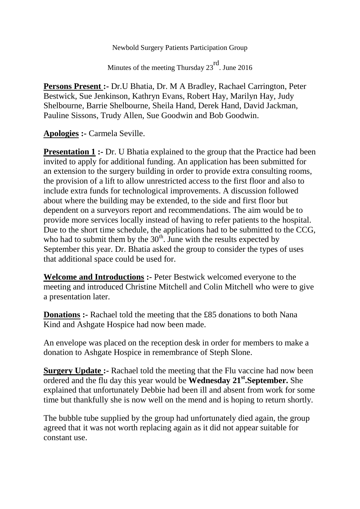Newbold Surgery Patients Participation Group

Minutes of the meeting Thursday 23<sup>rd</sup>. June 2016

**Persons Present :-** Dr.U Bhatia, Dr. M A Bradley, Rachael Carrington, Peter Bestwick, Sue Jenkinson, Kathryn Evans, Robert Hay, Marilyn Hay, Judy Shelbourne, Barrie Shelbourne, Sheila Hand, Derek Hand, David Jackman, Pauline Sissons, Trudy Allen, Sue Goodwin and Bob Goodwin.

**Apologies :-** Carmela Seville.

**Presentation 1 :-** Dr. U Bhatia explained to the group that the Practice had been invited to apply for additional funding. An application has been submitted for an extension to the surgery building in order to provide extra consulting rooms, the provision of a lift to allow unrestricted access to the first floor and also to include extra funds for technological improvements. A discussion followed about where the building may be extended, to the side and first floor but dependent on a surveyors report and recommendations. The aim would be to provide more services locally instead of having to refer patients to the hospital. Due to the short time schedule, the applications had to be submitted to the CCG, who had to submit them by the  $30<sup>th</sup>$ . June with the results expected by September this year. Dr. Bhatia asked the group to consider the types of uses that additional space could be used for.

**Welcome and Introductions :-** Peter Bestwick welcomed everyone to the meeting and introduced Christine Mitchell and Colin Mitchell who were to give a presentation later.

**Donations :-** Rachael told the meeting that the £85 donations to both Nana Kind and Ashgate Hospice had now been made.

An envelope was placed on the reception desk in order for members to make a donation to Ashgate Hospice in remembrance of Steph Slone.

**Surgery Update :-** Rachael told the meeting that the Flu vaccine had now been ordered and the flu day this year would be **Wednesday 21st.September.** She explained that unfortunately Debbie had been ill and absent from work for some time but thankfully she is now well on the mend and is hoping to return shortly.

The bubble tube supplied by the group had unfortunately died again, the group agreed that it was not worth replacing again as it did not appear suitable for constant use.